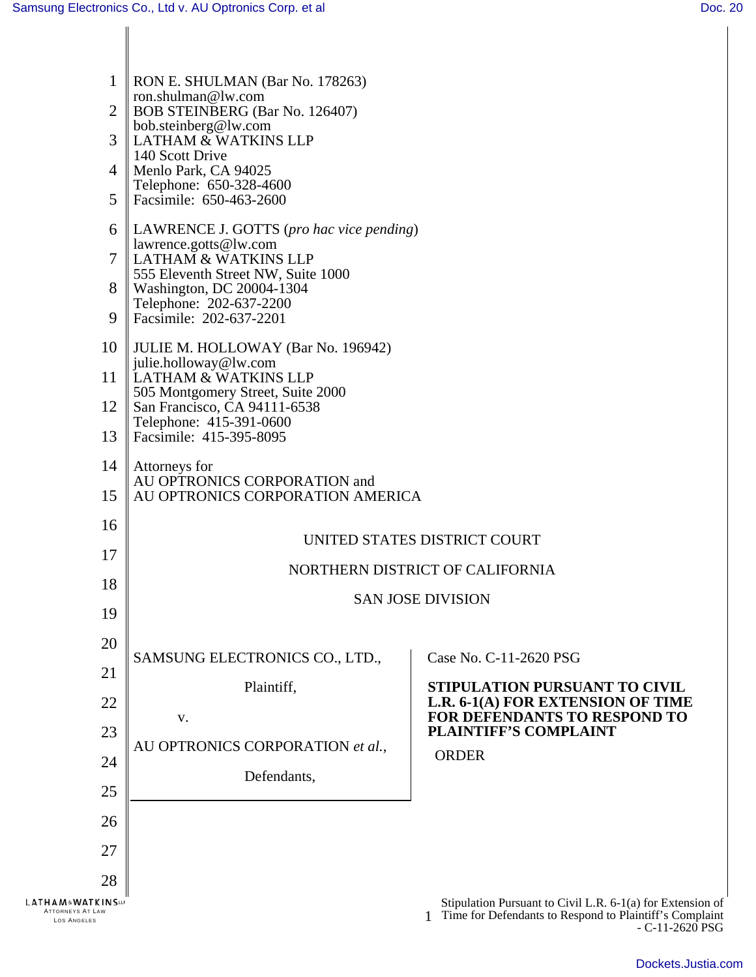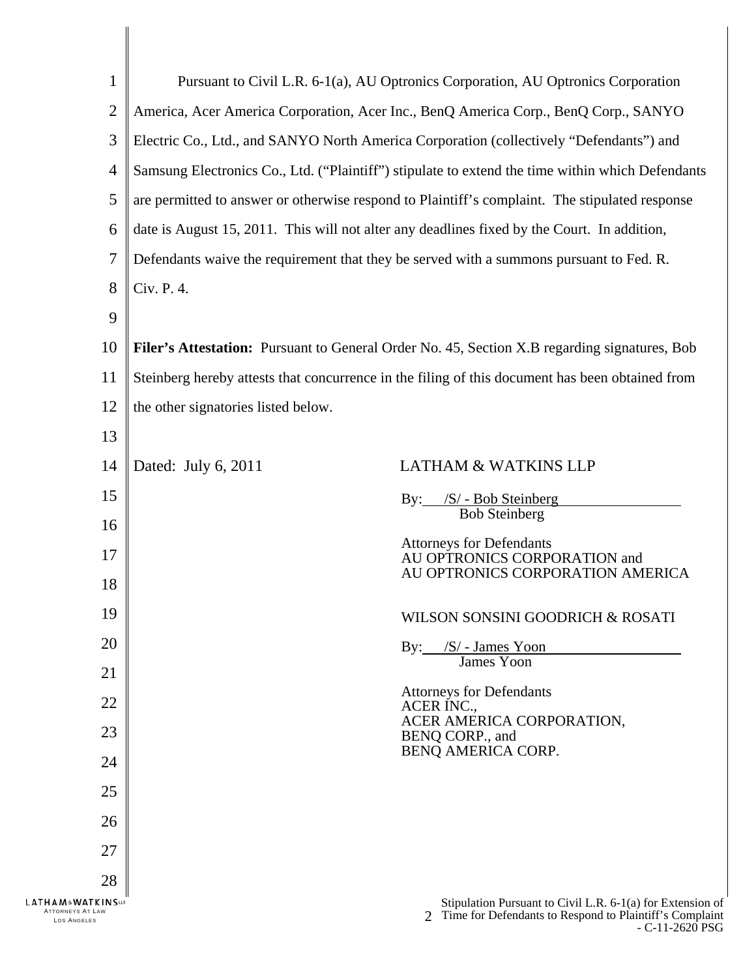| 1                                                                     | Pursuant to Civil L.R. 6-1(a), AU Optronics Corporation, AU Optronics Corporation                   |                                                                                                                                           |
|-----------------------------------------------------------------------|-----------------------------------------------------------------------------------------------------|-------------------------------------------------------------------------------------------------------------------------------------------|
| 2                                                                     | America, Acer America Corporation, Acer Inc., BenQ America Corp., BenQ Corp., SANYO                 |                                                                                                                                           |
| 3                                                                     | Electric Co., Ltd., and SANYO North America Corporation (collectively "Defendants") and             |                                                                                                                                           |
| 4                                                                     | Samsung Electronics Co., Ltd. ("Plaintiff") stipulate to extend the time within which Defendants    |                                                                                                                                           |
| 5                                                                     | are permitted to answer or otherwise respond to Plaintiff's complaint. The stipulated response      |                                                                                                                                           |
| 6                                                                     | date is August 15, 2011. This will not alter any deadlines fixed by the Court. In addition,         |                                                                                                                                           |
| 7                                                                     | Defendants waive the requirement that they be served with a summons pursuant to Fed. R.             |                                                                                                                                           |
| 8                                                                     | Civ. P. 4.                                                                                          |                                                                                                                                           |
| 9                                                                     |                                                                                                     |                                                                                                                                           |
| 10                                                                    | <b>Filer's Attestation:</b> Pursuant to General Order No. 45, Section X.B regarding signatures, Bob |                                                                                                                                           |
| 11                                                                    | Steinberg hereby attests that concurrence in the filing of this document has been obtained from     |                                                                                                                                           |
| 12                                                                    | the other signatories listed below.                                                                 |                                                                                                                                           |
| 13                                                                    |                                                                                                     |                                                                                                                                           |
| 14                                                                    | Dated: July 6, 2011                                                                                 | <b>LATHAM &amp; WATKINS LLP</b>                                                                                                           |
| 15                                                                    |                                                                                                     | By: /S/ - Bob Steinberg                                                                                                                   |
| 16                                                                    |                                                                                                     | <b>Bob Steinberg</b>                                                                                                                      |
| 17                                                                    |                                                                                                     | <b>Attorneys for Defendants</b><br>AU OPTRONICS CORPORATION and                                                                           |
| 18                                                                    |                                                                                                     | AU OPTRONICS CORPORATION AMERICA                                                                                                          |
| 19                                                                    |                                                                                                     | WILSON SONSINI GOODRICH & ROSATI                                                                                                          |
| 20                                                                    |                                                                                                     | By: /S/ - James Yoon<br>James Yoon                                                                                                        |
| 21                                                                    |                                                                                                     |                                                                                                                                           |
| 22                                                                    |                                                                                                     | <b>Attorneys for Defendants</b><br>ACER INC.,                                                                                             |
| 23                                                                    |                                                                                                     | ACER AMERICA CORPORATION,<br>BENQ CORP., and                                                                                              |
| 24                                                                    |                                                                                                     | BENQ AMERICA CORP.                                                                                                                        |
| 25                                                                    |                                                                                                     |                                                                                                                                           |
| 26                                                                    |                                                                                                     |                                                                                                                                           |
| 27                                                                    |                                                                                                     |                                                                                                                                           |
| 28                                                                    |                                                                                                     |                                                                                                                                           |
| <b>LATHAM&amp;WATKINSUP</b><br><b>ATTORNEYS AT LAW</b><br>LOS ANGELES |                                                                                                     | Stipulation Pursuant to Civil L.R. 6-1(a) for Extension of<br>Time for Defendants to Respond to Plaintiff's Complaint<br>$-C-11-2620$ PSG |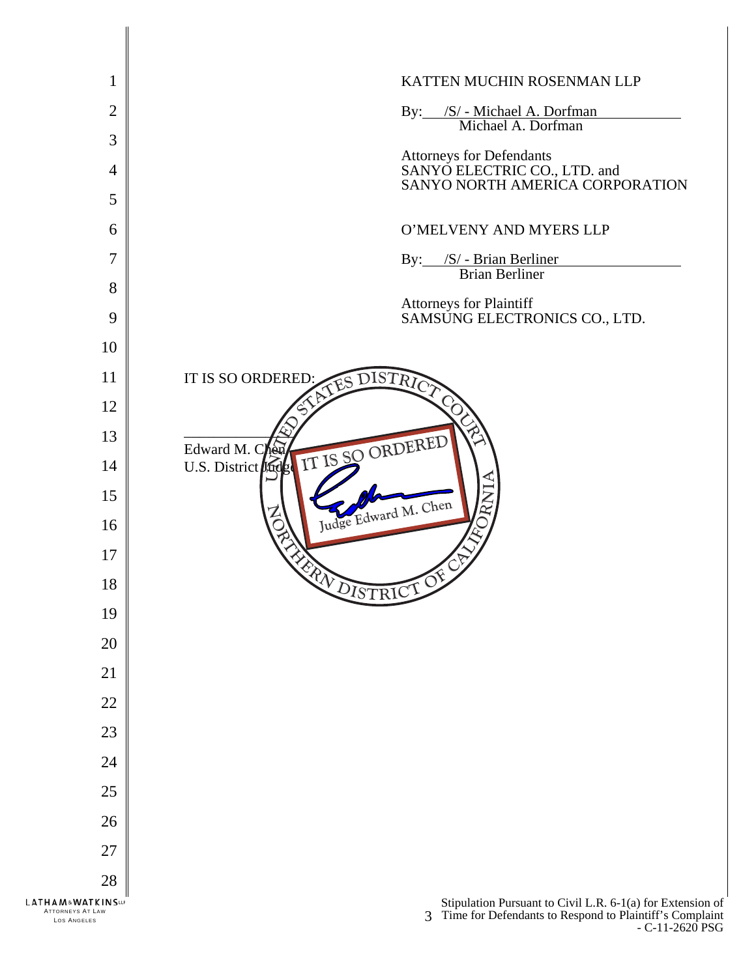